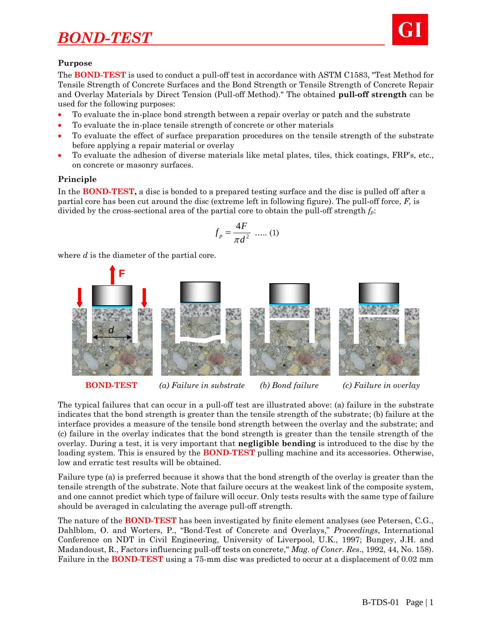

### **Purpose**

The **BOND-TEST** is used to conduct a pull-off test in accordance with ASTM C1583, "Test Method for Tensile Strength of Concrete Surfaces and the Bond Strength or Tensile Strength of Concrete Repair and Overlay Materials by Direct Tension (Pull-off Method)." The obtained **pull-off strength** can be used for the following purposes:

- To evaluate the in-place bond strength between a repair overlay or patch and the substrate
- To evaluate the in-place tensile strength of concrete or other materials
- To evaluate the effect of surface preparation procedures on the tensile strength of the substrate before applying a repair material or overlay
- To evaluate the adhesion of diverse materials like metal plates, tiles, thick coatings, FRP's, etc., on concrete or masonry surfaces.

### **Principle**

In the **BOND-TEST,** a disc is bonded to a prepared testing surface and the disc is pulled off after a partial core has been cut around the disc (extreme left in following figure). The pull-off force, *F,* is divided by the cross-sectional area of the partial core to obtain the pull-off strength *fp*:

$$
f_p = \frac{4F}{\pi d^2} \dots (1)
$$

where *d* is the diameter of the partial core.



**BOND-TEST** *(a) Failure in substrate (b) Bond failure (c) Failure in overlay*

The typical failures that can occur in a pull-off test are illustrated above: (a) failure in the substrate indicates that the bond strength is greater than the tensile strength of the substrate; (b) failure at the interface provides a measure of the tensile bond strength between the overlay and the substrate; and (c) failure in the overlay indicates that the bond strength is greater than the tensile strength of the overlay. During a test, it is very important that **negligible bending** is introduced to the disc by the loading system. This is ensured by the **BOND-TEST** pulling machine and its accessories. Otherwise, low and erratic test results will be obtained.

Failure type (a) is preferred because it shows that the bond strength of the overlay is greater than the tensile strength of the substrate. Note that failure occurs at the weakest link of the composite system, and one cannot predict which type of failure will occur. Only tests results with the same type of failure should be averaged in calculating the average pull-off strength.

The nature of the **BOND-TEST** has been investigated by finite element analyses (see Petersen, C.G., Dahlblom, O. and Worters, P., "Bond-Test of Concrete and Overlays," *Proceedings*, International Conference on NDT in Civil Engineering, University of Liverpool, U.K., 1997; Bungey, J.H. and Madandoust, R., Factors influencing pull-off tests on concrete," *Mag. of Concr. Res*., 1992, 44, No. 158). Failure in the **BOND-TEST** using a 75-mm disc was predicted to occur at a displacement of 0.02 mm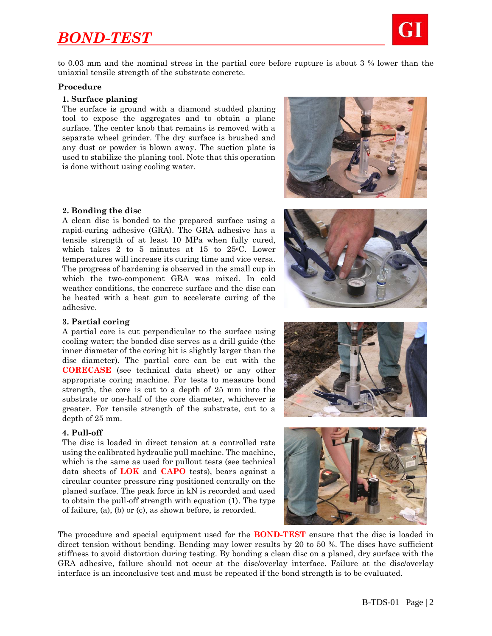

to 0.03 mm and the nominal stress in the partial core before rupture is about 3 % lower than the uniaxial tensile strength of the substrate concrete.

#### **Procedure**

#### **1. Surface planing**

The surface is ground with a diamond studded planing tool to expose the aggregates and to obtain a plane surface. The center knob that remains is removed with a separate wheel grinder. The dry surface is brushed and any dust or powder is blown away. The suction plate is used to stabilize the planing tool. Note that this operation is done without using cooling water.



#### **2. Bonding the disc**

A clean disc is bonded to the prepared surface using a rapid-curing adhesive (GRA). The GRA adhesive has a tensile strength of at least 10 MPa when fully cured, which takes 2 to 5 minutes at 15 to  $25^{\circ}$ C. Lower temperatures will increase its curing time and vice versa. The progress of hardening is observed in the small cup in which the two-component GRA was mixed. In cold weather conditions, the concrete surface and the disc can be heated with a heat gun to accelerate curing of the adhesive.

#### **3. Partial coring**

A partial core is cut perpendicular to the surface using cooling water; the bonded disc serves as a drill guide (the inner diameter of the coring bit is slightly larger than the disc diameter). The partial core can be cut with the **CORECASE** (see technical data sheet) or any other appropriate coring machine. For tests to measure bond strength, the core is cut to a depth of 25 mm into the substrate or one-half of the core diameter, whichever is greater. For tensile strength of the substrate, cut to a depth of 25 mm.

#### **4. Pull-off**

The disc is loaded in direct tension at a controlled rate using the calibrated hydraulic pull machine. The machine, which is the same as used for pullout tests (see technical data sheets of **LOK** and **CAPO** tests), bears against a circular counter pressure ring positioned centrally on the planed surface. The peak force in kN is recorded and used to obtain the pull-off strength with equation (1). The type of failure, (a), (b) or (c), as shown before, is recorded.







The procedure and special equipment used for the **BOND-TEST** ensure that the disc is loaded in direct tension without bending. Bending may lower results by 20 to 50 %. The discs have sufficient stiffness to avoid distortion during testing. By bonding a clean disc on a planed, dry surface with the GRA adhesive, failure should not occur at the disc/overlay interface. Failure at the disc/overlay interface is an inconclusive test and must be repeated if the bond strength is to be evaluated.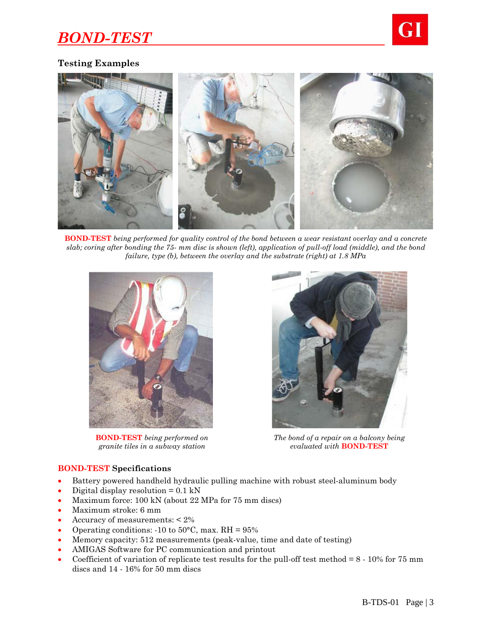

# **Testing Examples**



**BOND-TEST** *being performed for quality control of the bond between a wear resistant overlay and a concrete slab; coring after bonding the 75- mm disc is shown (left), application of pull-off load (middle), and the bond failure, type (b), between the overlay and the substrate (right) at 1.8 MPa*



**BOND-TEST** *being performed on granite tiles in a subway station*



*The bond of a repair on a balcony being evaluated with* **BOND-TEST**

### **BOND-TEST Specifications**

- Battery powered handheld hydraulic pulling machine with robust steel-aluminum body
- Digital display resolution  $= 0.1 \text{ kN}$
- Maximum force: 100 kN (about 22 MPa for 75 mm discs)
- Maximum stroke: 6 mm
- Accuracy of measurements: < 2%
- Operating conditions:  $-10$  to  $50^{\circ}$ C, max. RH =  $95\%$
- Memory capacity: 512 measurements (peak-value, time and date of testing)
- AMIGAS Software for PC communication and printout
- Coefficient of variation of replicate test results for the pull-off test method =  $8 10\%$  for 75 mm discs and 14 - 16% for 50 mm discs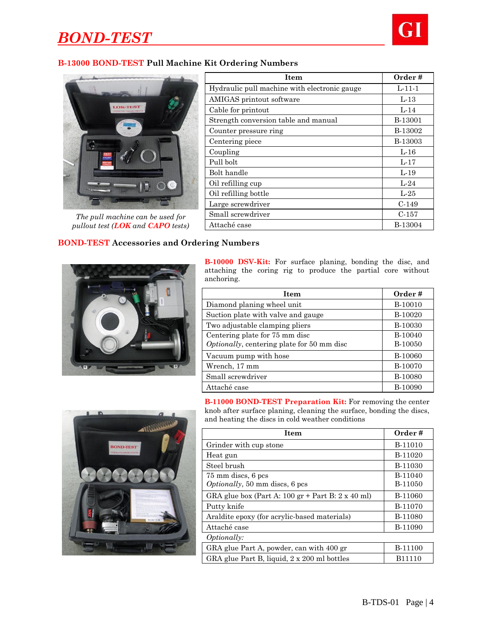

### **B-13000 BOND-TEST Pull Machine Kit Ordering Numbers**



*The pull machine can be used for pullout test (LOK and CAPO tests)*

| Item                                         | Order #        |
|----------------------------------------------|----------------|
| Hydraulic pull machine with electronic gauge | $L-11-1$       |
| AMIGAS printout software                     | $L-13$         |
| Cable for printout                           | $L-14$         |
| Strength conversion table and manual         | B-13001        |
| Counter pressure ring                        | B-13002        |
| Centering piece                              | <b>B-13003</b> |
| Coupling                                     | $L-16$         |
| Pull bolt                                    | $L-17$         |
| Bolt handle                                  | $L-19$         |
| Oil refilling cup                            | $L-24$         |
| Oil refilling bottle                         | $L-25$         |
| Large screwdriver                            | $C-149$        |
| Small screwdriver                            | $C-157$        |
| Attaché case                                 | B-13004        |

## **BOND-TEST Accessories and Ordering Numbers**



**B-10000 DSV-Kit:** For surface planing, bonding the disc, and attaching the coring rig to produce the partial core without anchoring.

| Item                                                                         | Order#             |
|------------------------------------------------------------------------------|--------------------|
| Diamond planing wheel unit                                                   | B-10010            |
| Suction plate with valve and gauge                                           | B-10020            |
| Two adjustable clamping pliers                                               | B-10030            |
| Centering plate for 75 mm disc<br>Optionally, centering plate for 50 mm disc | B-10040<br>B-10050 |
| Vacuum pump with hose                                                        | <b>B-10060</b>     |
| Wrench, 17 mm                                                                | B-10070            |
| Small screwdriver                                                            | <b>B-10080</b>     |
| Attaché case                                                                 | <b>B-10090</b>     |



**B-11000 BOND-TEST Preparation Kit:** For removing the center knob after surface planing, cleaning the surface, bonding the discs, and heating the discs in cold weather conditions

| <b>Item</b>                                                                     | Order#             |
|---------------------------------------------------------------------------------|--------------------|
| Grinder with cup stone                                                          | B-11010            |
| Heat gun                                                                        | B-11020            |
| Steel brush                                                                     | B-11030            |
| 75 mm discs, 6 pcs                                                              | B-11040            |
| <i>Optionally</i> , 50 mm discs, 6 pcs                                          | B-11050            |
| GRA glue box (Part A: $100 \text{ gr} +$ Part B: $2 \text{ x } 40 \text{ ml}$ ) | B-11060            |
| Putty knife                                                                     | B-11070            |
| Araldite epoxy (for acrylic-based materials)                                    | <b>B-11080</b>     |
| Attaché case                                                                    | B-11090            |
| <i>Optionally:</i>                                                              |                    |
| GRA glue Part A, powder, can with 400 gr                                        | B-11100            |
| GRA glue Part B, liquid, 2 x 200 ml bottles                                     | B <sub>11110</sub> |